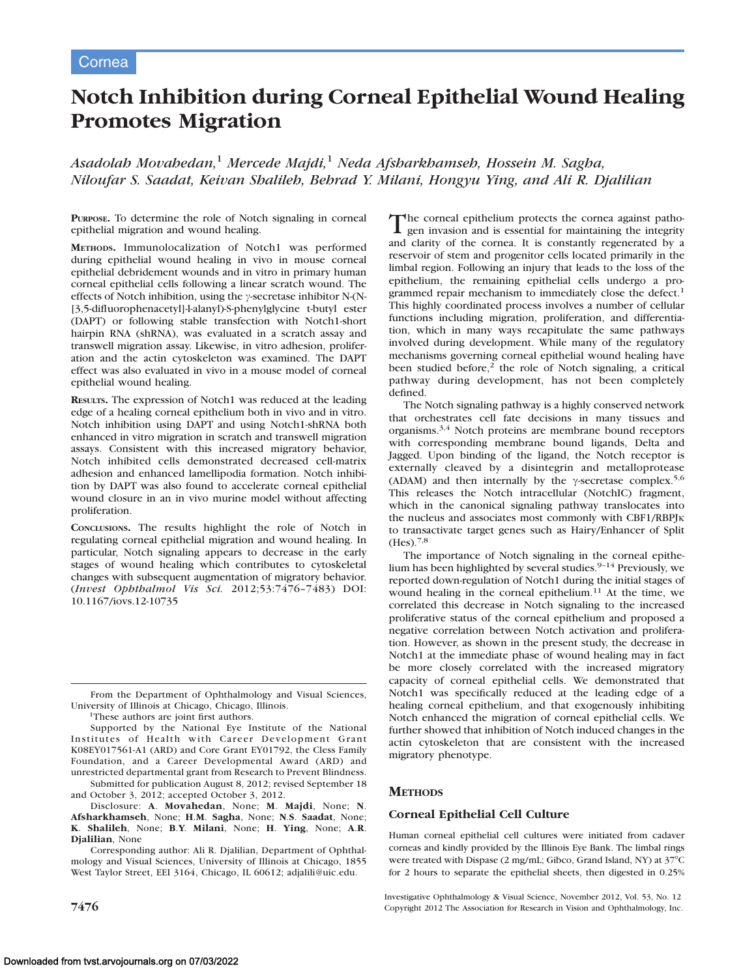# Notch Inhibition during Corneal Epithelial Wound Healing Promotes Migration

Asadolah Movahedan,<sup>1</sup> Mercede Majdi,<sup>1</sup> Neda Afsharkhamseh, Hossein M. Sagha, Niloufar S. Saadat, Keivan Shalileh, Behrad Y. Milani, Hongyu Ying, and Ali R. Djalilian

PURPOSE. To determine the role of Notch signaling in corneal epithelial migration and wound healing.

METHODS. Immunolocalization of Notch1 was performed during epithelial wound healing in vivo in mouse corneal epithelial debridement wounds and in vitro in primary human corneal epithelial cells following a linear scratch wound. The effects of Notch inhibition, using the  $\gamma$ -secretase inhibitor N-(N-[3,5-difluorophenacetyl]-l-alanyl)-S-phenylglycine t-butyl ester (DAPT) or following stable transfection with Notch1-short hairpin RNA (shRNA), was evaluated in a scratch assay and transwell migration assay. Likewise, in vitro adhesion, proliferation and the actin cytoskeleton was examined. The DAPT effect was also evaluated in vivo in a mouse model of corneal epithelial wound healing.

RESULTS. The expression of Notch1 was reduced at the leading edge of a healing corneal epithelium both in vivo and in vitro. Notch inhibition using DAPT and using Notch1-shRNA both enhanced in vitro migration in scratch and transwell migration assays. Consistent with this increased migratory behavior, Notch inhibited cells demonstrated decreased cell-matrix adhesion and enhanced lamellipodia formation. Notch inhibition by DAPT was also found to accelerate corneal epithelial wound closure in an in vivo murine model without affecting proliferation.

CONCLUSIONS. The results highlight the role of Notch in regulating corneal epithelial migration and wound healing. In particular, Notch signaling appears to decrease in the early stages of wound healing which contributes to cytoskeletal changes with subsequent augmentation of migratory behavior. (Invest Ophthalmol Vis Sci. 2012;53:7476–7483) DOI: 10.1167/iovs.12-10735

Supported by the National Eye Institute of the National Institutes of Health with Career Development Grant K08EY017561-A1 (ARD) and Core Grant EY01792, the Cless Family Foundation, and a Career Developmental Award (ARD) and unrestricted departmental grant from Research to Prevent Blindness.

Submitted for publication August 8, 2012; revised September 18 and October 3, 2012; accepted October 3, 2012.

Disclosure: A. Movahedan, None; M. Majdi, None; N. Afsharkhamseh, None; H.M. Sagha, None; N.S. Saadat, None; K. Shalileh, None; B.Y. Milani, None; H. Ying, None; A.R. Djalilian, None

Corresponding author: Ali R. Djalilian, Department of Ophthalmology and Visual Sciences, University of Illinois at Chicago, 1855 West Taylor Street, EEI 3164, Chicago, IL 60612; adjalili@uic.edu.

The corneal epithelium protects the cornea against patho- $\blacksquare$  gen invasion and is essential for maintaining the integrity and clarity of the cornea. It is constantly regenerated by a reservoir of stem and progenitor cells located primarily in the limbal region. Following an injury that leads to the loss of the epithelium, the remaining epithelial cells undergo a programmed repair mechanism to immediately close the defect.<sup>1</sup> This highly coordinated process involves a number of cellular functions including migration, proliferation, and differentiation, which in many ways recapitulate the same pathways involved during development. While many of the regulatory mechanisms governing corneal epithelial wound healing have been studied before,<sup>2</sup> the role of Notch signaling, a critical pathway during development, has not been completely defined.

The Notch signaling pathway is a highly conserved network that orchestrates cell fate decisions in many tissues and organisms.3,4 Notch proteins are membrane bound receptors with corresponding membrane bound ligands, Delta and Jagged. Upon binding of the ligand, the Notch receptor is externally cleaved by a disintegrin and metalloprotease (ADAM) and then internally by the  $\gamma$ -secretase complex.<sup>5,6</sup> This releases the Notch intracellular (NotchIC) fragment, which in the canonical signaling pathway translocates into the nucleus and associates most commonly with CBF1/RBPJK to transactivate target genes such as Hairy/Enhancer of Split  $(Hes).^{7,8}$ 

The importance of Notch signaling in the corneal epithelium has been highlighted by several studies.<sup>9-14</sup> Previously, we reported down-regulation of Notch1 during the initial stages of wound healing in the corneal epithelium.<sup>11</sup> At the time, we correlated this decrease in Notch signaling to the increased proliferative status of the corneal epithelium and proposed a negative correlation between Notch activation and proliferation. However, as shown in the present study, the decrease in Notch1 at the immediate phase of wound healing may in fact be more closely correlated with the increased migratory capacity of corneal epithelial cells. We demonstrated that Notch1 was specifically reduced at the leading edge of a healing corneal epithelium, and that exogenously inhibiting Notch enhanced the migration of corneal epithelial cells. We further showed that inhibition of Notch induced changes in the actin cytoskeleton that are consistent with the increased migratory phenotype.

# **METHODS**

## Corneal Epithelial Cell Culture

Human corneal epithelial cell cultures were initiated from cadaver corneas and kindly provided by the Illinois Eye Bank. The limbal rings were treated with Dispase (2 mg/mL; Gibco, Grand Island, NY) at  $37^{\circ}$ C for 2 hours to separate the epithelial sheets, then digested in 0.25%

Investigative Ophthalmology & Visual Science, November 2012, Vol. 53, No. 12 7476 Copyright 2012 The Association for Research in Vision and Ophthalmology, Inc.

From the Department of Ophthalmology and Visual Sciences, University of Illinois at Chicago, Chicago, Illinois.

<sup>&</sup>lt;sup>1</sup>These authors are joint first authors.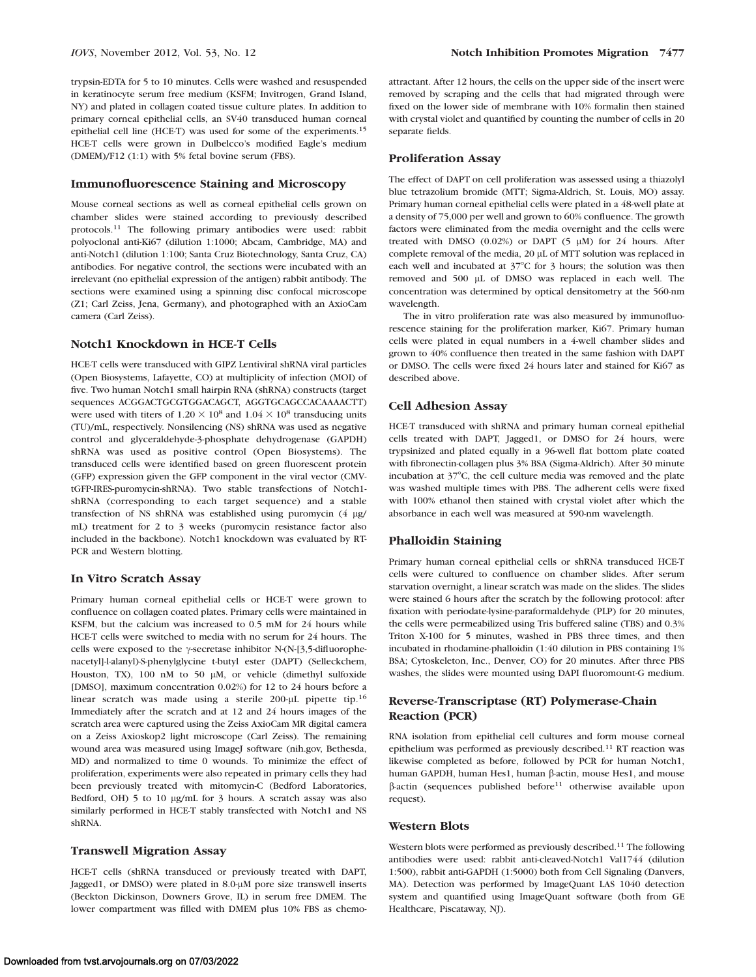trypsin-EDTA for 5 to 10 minutes. Cells were washed and resuspended in keratinocyte serum free medium (KSFM; Invitrogen, Grand Island, NY) and plated in collagen coated tissue culture plates. In addition to primary corneal epithelial cells, an SV40 transduced human corneal epithelial cell line (HCE-T) was used for some of the experiments.<sup>15</sup> HCE-T cells were grown in Dulbelcco's modified Eagle's medium (DMEM)/F12 (1:1) with 5% fetal bovine serum (FBS).

## Immunofluorescence Staining and Microscopy

Mouse corneal sections as well as corneal epithelial cells grown on chamber slides were stained according to previously described protocols.<sup>11</sup> The following primary antibodies were used: rabbit polyoclonal anti-Ki67 (dilution 1:1000; Abcam, Cambridge, MA) and anti-Notch1 (dilution 1:100; Santa Cruz Biotechnology, Santa Cruz, CA) antibodies. For negative control, the sections were incubated with an irrelevant (no epithelial expression of the antigen) rabbit antibody. The sections were examined using a spinning disc confocal microscope (Z1; Carl Zeiss, Jena, Germany), and photographed with an AxioCam camera (Carl Zeiss).

# Notch1 Knockdown in HCE-T Cells

HCE-T cells were transduced with GIPZ Lentiviral shRNA viral particles (Open Biosystems, Lafayette, CO) at multiplicity of infection (MOI) of five. Two human Notch1 small hairpin RNA (shRNA) constructs (target sequences ACGGACTGCGTGGACAGCT, AGGTGCAGCCACAAAACTT) were used with titers of  $1.20 \times 10^8$  and  $1.04 \times 10^8$  transducing units (TU)/mL, respectively. Nonsilencing (NS) shRNA was used as negative control and glyceraldehyde-3-phosphate dehydrogenase (GAPDH) shRNA was used as positive control (Open Biosystems). The transduced cells were identified based on green fluorescent protein (GFP) expression given the GFP component in the viral vector (CMVtGFP-IRES-puromycin-shRNA). Two stable transfections of Notch1 shRNA (corresponding to each target sequence) and a stable transfection of NS shRNA was established using puromycin (4 µg/ mL) treatment for 2 to 3 weeks (puromycin resistance factor also included in the backbone). Notch1 knockdown was evaluated by RT-PCR and Western blotting.

#### In Vitro Scratch Assay

Primary human corneal epithelial cells or HCE-T were grown to confluence on collagen coated plates. Primary cells were maintained in KSFM, but the calcium was increased to 0.5 mM for 24 hours while HCE-T cells were switched to media with no serum for 24 hours. The cells were exposed to the  $\gamma$ -secretase inhibitor N-(N-[3,5-difluorophenacetyl]-l-alanyl)-S-phenylglycine t-butyl ester (DAPT) (Selleckchem, Houston, TX),  $100$  nM to  $50 \mu$ M, or vehicle (dimethyl sulfoxide [DMSO], maximum concentration 0.02%) for 12 to 24 hours before a linear scratch was made using a sterile  $200 - \mu L$  pipette tip.<sup>16</sup> Immediately after the scratch and at 12 and 24 hours images of the scratch area were captured using the Zeiss AxioCam MR digital camera on a Zeiss Axioskop2 light microscope (Carl Zeiss). The remaining wound area was measured using ImageJ software (nih.gov, Bethesda, MD) and normalized to time 0 wounds. To minimize the effect of proliferation, experiments were also repeated in primary cells they had been previously treated with mitomycin-C (Bedford Laboratories, Bedford, OH) 5 to 10 µg/mL for 3 hours. A scratch assay was also similarly performed in HCE-T stably transfected with Notch1 and NS shRNA.

#### Transwell Migration Assay

HCE-T cells (shRNA transduced or previously treated with DAPT, Jagged1, or DMSO) were plated in 8.0-µM pore size transwell inserts (Beckton Dickinson, Downers Grove, IL) in serum free DMEM. The lower compartment was filled with DMEM plus 10% FBS as chemoattractant. After 12 hours, the cells on the upper side of the insert were removed by scraping and the cells that had migrated through were fixed on the lower side of membrane with 10% formalin then stained with crystal violet and quantified by counting the number of cells in 20 separate fields.

#### Proliferation Assay

The effect of DAPT on cell proliferation was assessed using a thiazolyl blue tetrazolium bromide (MTT; Sigma-Aldrich, St. Louis, MO) assay. Primary human corneal epithelial cells were plated in a 48-well plate at a density of 75,000 per well and grown to 60% confluence. The growth factors were eliminated from the media overnight and the cells were treated with DMSO (0.02%) or DAPT  $(5 \mu M)$  for 24 hours. After complete removal of the media, 20 µL of MTT solution was replaced in each well and incubated at  $37^{\circ}$ C for 3 hours; the solution was then removed and 500 µL of DMSO was replaced in each well. The concentration was determined by optical densitometry at the 560-nm wavelength.

The in vitro proliferation rate was also measured by immunofluorescence staining for the proliferation marker, Ki67. Primary human cells were plated in equal numbers in a 4-well chamber slides and grown to 40% confluence then treated in the same fashion with DAPT or DMSO. The cells were fixed 24 hours later and stained for Ki67 as described above.

# Cell Adhesion Assay

HCE-T transduced with shRNA and primary human corneal epithelial cells treated with DAPT, Jagged1, or DMSO for 24 hours, were trypsinized and plated equally in a 96-well flat bottom plate coated with fibronectin-collagen plus 3% BSA (Sigma-Aldrich). After 30 minute incubation at  $37^{\circ}$ C, the cell culture media was removed and the plate was washed multiple times with PBS. The adherent cells were fixed with 100% ethanol then stained with crystal violet after which the absorbance in each well was measured at 590-nm wavelength.

## Phalloidin Staining

Primary human corneal epithelial cells or shRNA transduced HCE-T cells were cultured to confluence on chamber slides. After serum starvation overnight, a linear scratch was made on the slides. The slides were stained 6 hours after the scratch by the following protocol: after fixation with periodate-lysine-paraformaldehyde (PLP) for 20 minutes, the cells were permeabilized using Tris buffered saline (TBS) and 0.3% Triton X-100 for 5 minutes, washed in PBS three times, and then incubated in rhodamine-phalloidin (1:40 dilution in PBS containing 1% BSA; Cytoskeleton, Inc., Denver, CO) for 20 minutes. After three PBS washes, the slides were mounted using DAPI fluoromount-G medium.

# Reverse-Transcriptase (RT) Polymerase-Chain Reaction (PCR)

RNA isolation from epithelial cell cultures and form mouse corneal epithelium was performed as previously described.<sup>11</sup> RT reaction was likewise completed as before, followed by PCR for human Notch1, human GAPDH, human Hes1, human  $\beta$ -actin, mouse Hes1, and mouse  $\beta$ -actin (sequences published before<sup>11</sup> otherwise available upon request).

#### Western Blots

Western blots were performed as previously described.<sup>11</sup> The following antibodies were used: rabbit anti-cleaved-Notch1 Val1744 (dilution 1:500), rabbit anti-GAPDH (1:5000) both from Cell Signaling (Danvers, MA). Detection was performed by ImageQuant LAS 1040 detection system and quantified using ImageQuant software (both from GE Healthcare, Piscataway, NJ).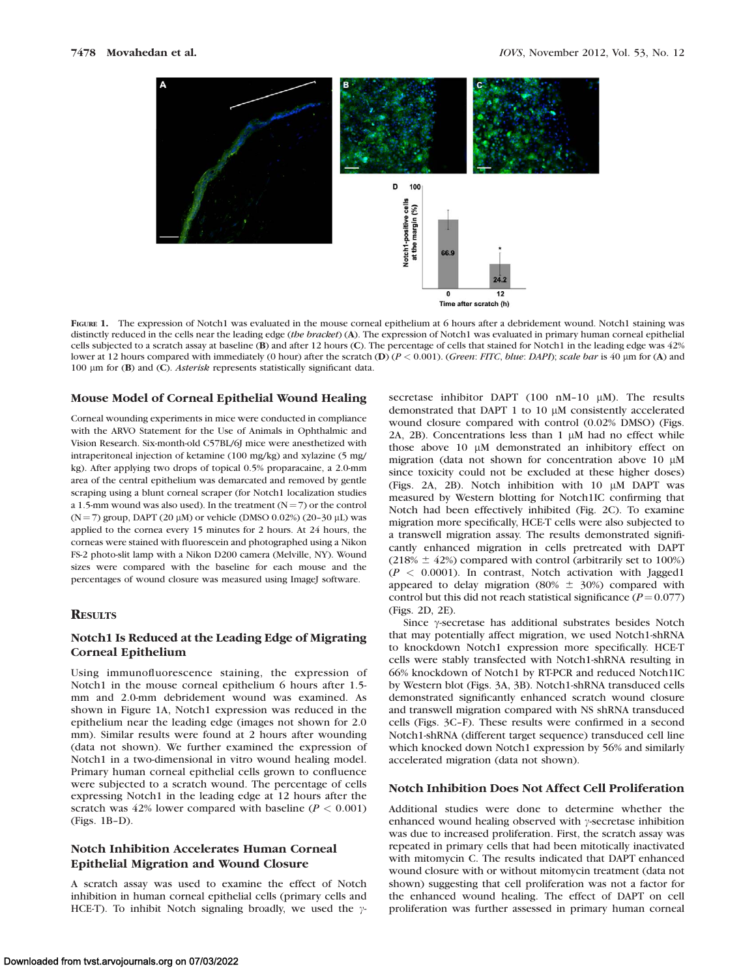

FIGURE 1. The expression of Notch1 was evaluated in the mouse corneal epithelium at 6 hours after a debridement wound. Notch1 staining was distinctly reduced in the cells near the leading edge (the bracket) (A). The expression of Notch1 was evaluated in primary human corneal epithelial cells subjected to a scratch assay at baseline (B) and after 12 hours (C). The percentage of cells that stained for Notch1 in the leading edge was 42% lower at 12 hours compared with immediately (0 hour) after the scratch (D) (P < 0.001). (Green: FITC, blue: DAPI); scale bar is 40 µm for (A) and 100 lm for (B) and (C). Asterisk represents statistically significant data.

#### Mouse Model of Corneal Epithelial Wound Healing

Corneal wounding experiments in mice were conducted in compliance with the ARVO Statement for the Use of Animals in Ophthalmic and Vision Research. Six-month-old C57BL/6J mice were anesthetized with intraperitoneal injection of ketamine (100 mg/kg) and xylazine (5 mg/ kg). After applying two drops of topical 0.5% proparacaine, a 2.0-mm area of the central epithelium was demarcated and removed by gentle scraping using a blunt corneal scraper (for Notch1 localization studies a 1.5-mm wound was also used). In the treatment  $(N=7)$  or the control ( $N = 7$ ) group, DAPT (20  $\mu$ M) or vehicle (DMSO 0.02%) (20–30  $\mu$ L) was applied to the cornea every 15 minutes for 2 hours. At 24 hours, the corneas were stained with fluorescein and photographed using a Nikon FS-2 photo-slit lamp with a Nikon D200 camera (Melville, NY). Wound sizes were compared with the baseline for each mouse and the percentages of wound closure was measured using ImageJ software.

#### **RESULTS**

# Notch1 Is Reduced at the Leading Edge of Migrating Corneal Epithelium

Using immunofluorescence staining, the expression of Notch1 in the mouse corneal epithelium 6 hours after 1.5 mm and 2.0-mm debridement wound was examined. As shown in Figure 1A, Notch1 expression was reduced in the epithelium near the leading edge (images not shown for 2.0 mm). Similar results were found at 2 hours after wounding (data not shown). We further examined the expression of Notch1 in a two-dimensional in vitro wound healing model. Primary human corneal epithelial cells grown to confluence were subjected to a scratch wound. The percentage of cells expressing Notch1 in the leading edge at 12 hours after the scratch was 42% lower compared with baseline ( $P < 0.001$ ) (Figs. 1B–D).

## Notch Inhibition Accelerates Human Corneal Epithelial Migration and Wound Closure

A scratch assay was used to examine the effect of Notch inhibition in human corneal epithelial cells (primary cells and HCE-T). To inhibit Notch signaling broadly, we used the  $\gamma$ - secretase inhibitor DAPT (100 nM-10  $\mu$ M). The results demonstrated that DAPT 1 to 10  $\mu$ M consistently accelerated wound closure compared with control (0.02% DMSO) (Figs. 2A, 2B). Concentrations less than  $1 \mu M$  had no effect while those above 10 µM demonstrated an inhibitory effect on migration (data not shown for concentration above 10  $\mu$ M since toxicity could not be excluded at these higher doses) (Figs. 2A, 2B). Notch inhibition with  $10 \mu M$  DAPT was measured by Western blotting for Notch1IC confirming that Notch had been effectively inhibited (Fig. 2C). To examine migration more specifically, HCE-T cells were also subjected to a transwell migration assay. The results demonstrated significantly enhanced migration in cells pretreated with DAPT (218%  $\pm$  42%) compared with control (arbitrarily set to 100%)  $(P < 0.0001)$ . In contrast, Notch activation with Jagged1 appeared to delay migration (80%  $\pm$  30%) compared with control but this did not reach statistical significance ( $P = 0.077$ ) (Figs. 2D, 2E).

Since  $\gamma$ -secretase has additional substrates besides Notch that may potentially affect migration, we used Notch1-shRNA to knockdown Notch1 expression more specifically. HCE-T cells were stably transfected with Notch1-shRNA resulting in 66% knockdown of Notch1 by RT-PCR and reduced Notch1IC by Western blot (Figs. 3A, 3B). Notch1-shRNA transduced cells demonstrated significantly enhanced scratch wound closure and transwell migration compared with NS shRNA transduced cells (Figs. 3C–F). These results were confirmed in a second Notch1-shRNA (different target sequence) transduced cell line which knocked down Notch1 expression by 56% and similarly accelerated migration (data not shown).

## Notch Inhibition Does Not Affect Cell Proliferation

Additional studies were done to determine whether the enhanced wound healing observed with  $\gamma$ -secretase inhibition was due to increased proliferation. First, the scratch assay was repeated in primary cells that had been mitotically inactivated with mitomycin C. The results indicated that DAPT enhanced wound closure with or without mitomycin treatment (data not shown) suggesting that cell proliferation was not a factor for the enhanced wound healing. The effect of DAPT on cell proliferation was further assessed in primary human corneal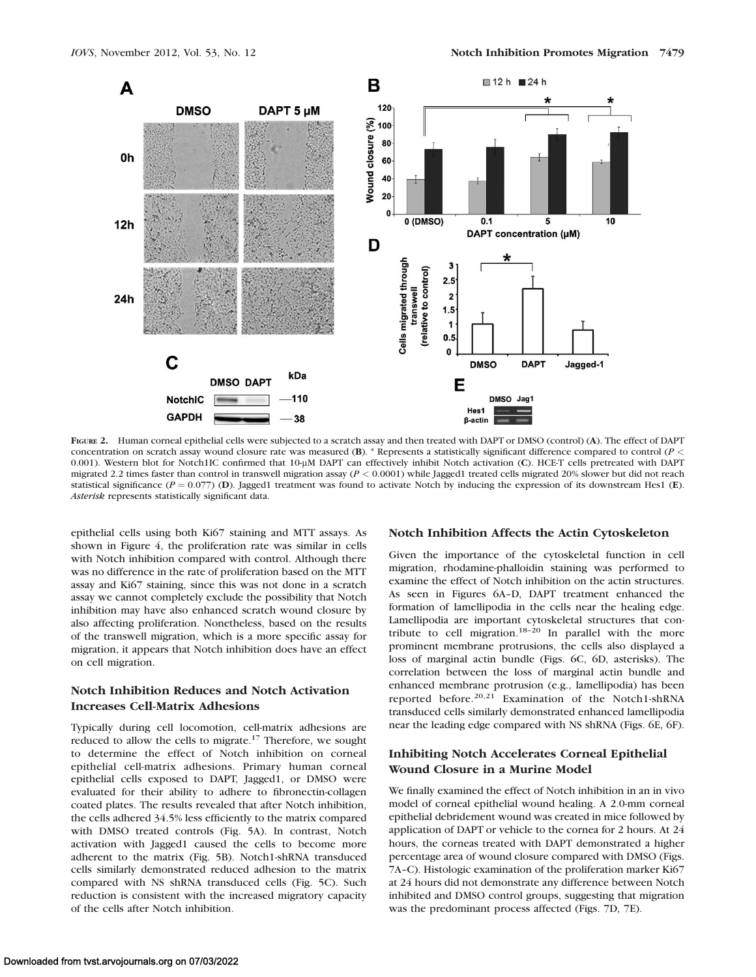

FIGURE 2. Human corneal epithelial cells were subjected to a scratch assay and then treated with DAPT or DMSO (control) (A). The effect of DAPT concentration on scratch assay wound closure rate was measured (B). \* Represents a statistically significant difference compared to control ( $P$  < 0.001). Western blot for Notch1IC confirmed that 10-lM DAPT can effectively inhibit Notch activation (C). HCE-T cells pretreated with DAPT migrated 2.2 times faster than control in transwell migration assay  $(P < 0.0001)$  while Jagged1 treated cells migrated 20% slower but did not reach statistical significance ( $P = 0.077$ ) (D). Jagged1 treatment was found to activate Notch by inducing the expression of its downstream Hes1 (E). Asterisk represents statistically significant data.

epithelial cells using both Ki67 staining and MTT assays. As shown in Figure 4, the proliferation rate was similar in cells with Notch inhibition compared with control. Although there was no difference in the rate of proliferation based on the MTT assay and Ki67 staining, since this was not done in a scratch assay we cannot completely exclude the possibility that Notch inhibition may have also enhanced scratch wound closure by also affecting proliferation. Nonetheless, based on the results of the transwell migration, which is a more specific assay for migration, it appears that Notch inhibition does have an effect on cell migration.

# Notch Inhibition Reduces and Notch Activation Increases Cell-Matrix Adhesions

Typically during cell locomotion, cell-matrix adhesions are reduced to allow the cells to migrate.17 Therefore, we sought to determine the effect of Notch inhibition on corneal epithelial cell-matrix adhesions. Primary human corneal epithelial cells exposed to DAPT, Jagged1, or DMSO were evaluated for their ability to adhere to fibronectin-collagen coated plates. The results revealed that after Notch inhibition, the cells adhered 34.5% less efficiently to the matrix compared with DMSO treated controls (Fig. 5A). In contrast, Notch activation with Jagged1 caused the cells to become more adherent to the matrix (Fig. 5B). Notch1-shRNA transduced cells similarly demonstrated reduced adhesion to the matrix compared with NS shRNA transduced cells (Fig. 5C). Such reduction is consistent with the increased migratory capacity of the cells after Notch inhibition.

## Notch Inhibition Affects the Actin Cytoskeleton

Given the importance of the cytoskeletal function in cell migration, rhodamine-phalloidin staining was performed to examine the effect of Notch inhibition on the actin structures. As seen in Figures 6A–D, DAPT treatment enhanced the formation of lamellipodia in the cells near the healing edge. Lamellipodia are important cytoskeletal structures that contribute to cell migration.<sup>18-20</sup> In parallel with the more prominent membrane protrusions, the cells also displayed a loss of marginal actin bundle (Figs. 6C, 6D, asterisks). The correlation between the loss of marginal actin bundle and enhanced membrane protrusion (e.g., lamellipodia) has been reported before.20,21 Examination of the Notch1-shRNA transduced cells similarly demonstrated enhanced lamellipodia near the leading edge compared with NS shRNA (Figs. 6E, 6F).

# Inhibiting Notch Accelerates Corneal Epithelial Wound Closure in a Murine Model

We finally examined the effect of Notch inhibition in an in vivo model of corneal epithelial wound healing. A 2.0-mm corneal epithelial debridement wound was created in mice followed by application of DAPT or vehicle to the cornea for 2 hours. At 24 hours, the corneas treated with DAPT demonstrated a higher percentage area of wound closure compared with DMSO (Figs. 7A–C). Histologic examination of the proliferation marker Ki67 at 24 hours did not demonstrate any difference between Notch inhibited and DMSO control groups, suggesting that migration was the predominant process affected (Figs. 7D, 7E).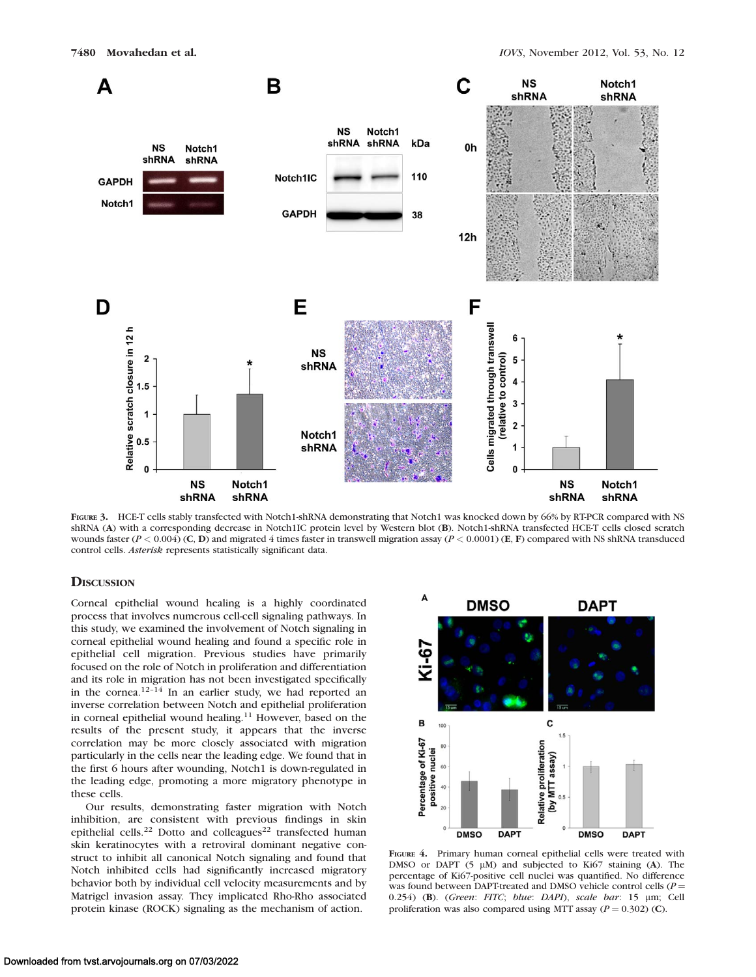

FIGURE 3. HCE-T cells stably transfected with Notch1-shRNA demonstrating that Notch1 was knocked down by 66% by RT-PCR compared with NS shRNA (A) with a corresponding decrease in Notch1IC protein level by Western blot (B). Notch1-shRNA transfected HCE-T cells closed scratch wounds faster ( $P < 0.004$ ) (C, D) and migrated 4 times faster in transwell migration assay ( $P < 0.0001$ ) (E, F) compared with NS shRNA transduced control cells. Asterisk represents statistically significant data.

## **DISCUSSION**

Corneal epithelial wound healing is a highly coordinated process that involves numerous cell-cell signaling pathways. In this study, we examined the involvement of Notch signaling in corneal epithelial wound healing and found a specific role in epithelial cell migration. Previous studies have primarily focused on the role of Notch in proliferation and differentiation and its role in migration has not been investigated specifically in the cornea.<sup>12-14</sup> In an earlier study, we had reported an inverse correlation between Notch and epithelial proliferation in corneal epithelial wound healing.<sup>11</sup> However, based on the results of the present study, it appears that the inverse correlation may be more closely associated with migration particularly in the cells near the leading edge. We found that in the first 6 hours after wounding, Notch1 is down-regulated in the leading edge, promoting a more migratory phenotype in these cells.

Our results, demonstrating faster migration with Notch inhibition, are consistent with previous findings in skin epithelial cells.<sup>22</sup> Dotto and colleagues<sup>22</sup> transfected human skin keratinocytes with a retroviral dominant negative construct to inhibit all canonical Notch signaling and found that Notch inhibited cells had significantly increased migratory behavior both by individual cell velocity measurements and by Matrigel invasion assay. They implicated Rho-Rho associated protein kinase (ROCK) signaling as the mechanism of action.



FIGURE 4. Primary human corneal epithelial cells were treated with DMSO or DAPT  $(5 \mu M)$  and subjected to Ki67 staining (A). The percentage of Ki67-positive cell nuclei was quantified. No difference was found between DAPT-treated and DMSO vehicle control cells ( $P =$ 0.254) (B). (Green: FITC; blue: DAPI), scale bar: 15 µm; Cell proliferation was also compared using MTT assay ( $P = 0.302$ ) (C).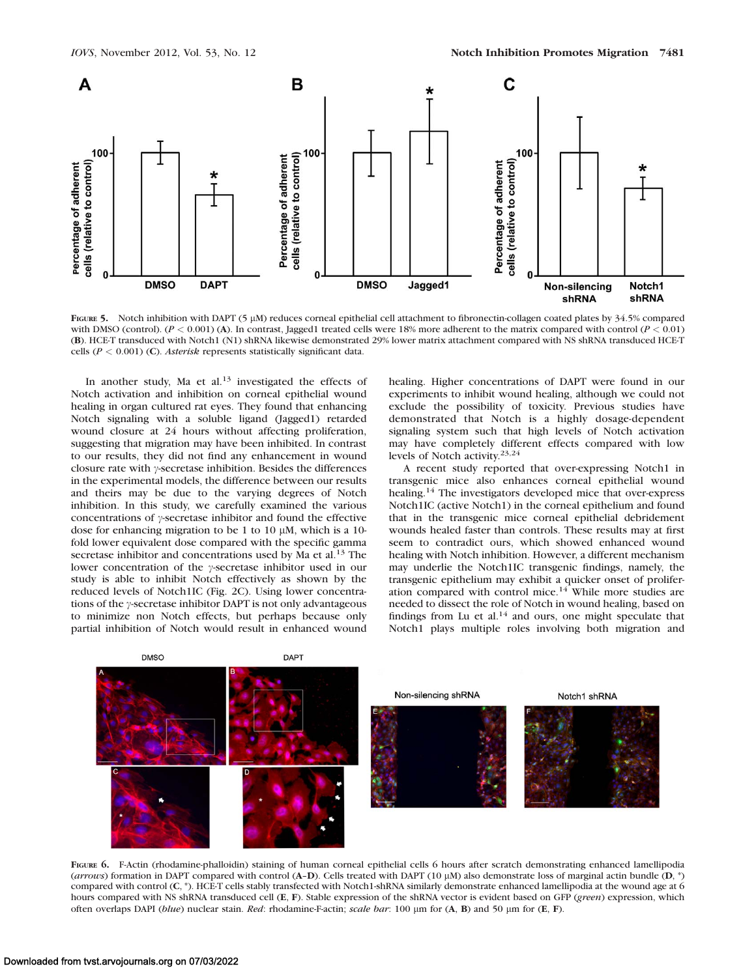

FIGURE 5. Notch inhibition with DAPT (5 µM) reduces corneal epithelial cell attachment to fibronectin-collagen coated plates by 34.5% compared with DMSO (control).  $(P < 0.001)$  (A). In contrast, Jagged1 treated cells were 18% more adherent to the matrix compared with control  $(P < 0.01)$ (B). HCE-T transduced with Notch1 (N1) shRNA likewise demonstrated 29% lower matrix attachment compared with NS shRNA transduced HCE-T cells ( $P < 0.001$ ) (C). Asterisk represents statistically significant data.

In another study, Ma et al. $13$  investigated the effects of Notch activation and inhibition on corneal epithelial wound healing in organ cultured rat eyes. They found that enhancing Notch signaling with a soluble ligand (Jagged1) retarded wound closure at 24 hours without affecting proliferation, suggesting that migration may have been inhibited. In contrast to our results, they did not find any enhancement in wound closure rate with  $\gamma$ -secretase inhibition. Besides the differences in the experimental models, the difference between our results and theirs may be due to the varying degrees of Notch inhibition. In this study, we carefully examined the various concentrations of  $\gamma$ -secretase inhibitor and found the effective dose for enhancing migration to be 1 to 10  $\mu$ M, which is a 10fold lower equivalent dose compared with the specific gamma secretase inhibitor and concentrations used by Ma et al.<sup>13</sup> The lower concentration of the  $\gamma$ -secretase inhibitor used in our study is able to inhibit Notch effectively as shown by the reduced levels of Notch1IC (Fig. 2C). Using lower concentrations of the  $\gamma$ -secretase inhibitor DAPT is not only advantageous to minimize non Notch effects, but perhaps because only partial inhibition of Notch would result in enhanced wound healing. Higher concentrations of DAPT were found in our experiments to inhibit wound healing, although we could not exclude the possibility of toxicity. Previous studies have demonstrated that Notch is a highly dosage-dependent signaling system such that high levels of Notch activation may have completely different effects compared with low levels of Notch activity.23,24

A recent study reported that over-expressing Notch1 in transgenic mice also enhances corneal epithelial wound healing.<sup>14</sup> The investigators developed mice that over-express Notch1IC (active Notch1) in the corneal epithelium and found that in the transgenic mice corneal epithelial debridement wounds healed faster than controls. These results may at first seem to contradict ours, which showed enhanced wound healing with Notch inhibition. However, a different mechanism may underlie the Notch1IC transgenic findings, namely, the transgenic epithelium may exhibit a quicker onset of proliferation compared with control mice.<sup>14</sup> While more studies are needed to dissect the role of Notch in wound healing, based on findings from Lu et al.<sup>14</sup> and ours, one might speculate that Notch1 plays multiple roles involving both migration and



FIGURE 6. F-Actin (rhodamine-phalloidin) staining of human corneal epithelial cells 6 hours after scratch demonstrating enhanced lamellipodia (arrows) formation in DAPT compared with control (A-D). Cells treated with DAPT (10  $\mu$ M) also demonstrate loss of marginal actin bundle (D, \*) compared with control (C, \*). HCE-T cells stably transfected with Notch1-shRNA similarly demonstrate enhanced lamellipodia at the wound age at 6 hours compared with NS shRNA transduced cell (E, F). Stable expression of the shRNA vector is evident based on GFP (green) expression, which often overlaps DAPI (blue) nuclear stain. Red: rhodamine-F-actin; scale bar: 100  $\mu$ m for (A, B) and 50  $\mu$ m for (E, F).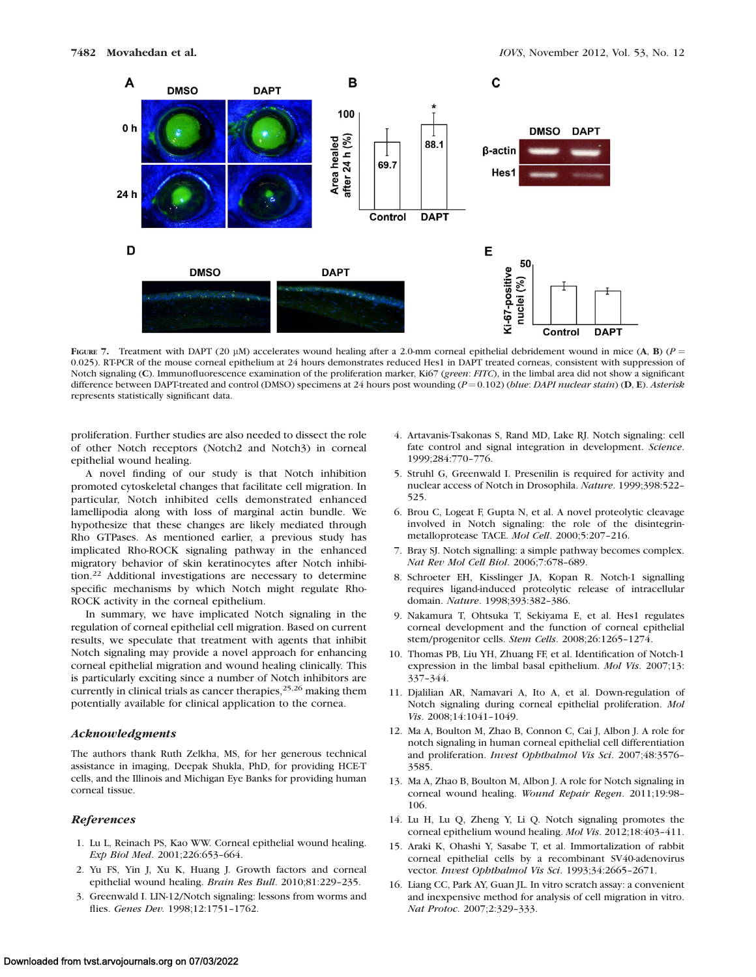

FIGURE 7. Treatment with DAPT (20 µM) accelerates wound healing after a 2.0-mm corneal epithelial debridement wound in mice (A, B) ( $P =$ 0.025). RT-PCR of the mouse corneal epithelium at 24 hours demonstrates reduced Hes1 in DAPT treated corneas, consistent with suppression of Notch signaling (C). Immunofluorescence examination of the proliferation marker, Ki67 (green: FITC), in the limbal area did not show a significant difference between DAPT-treated and control (DMSO) specimens at 24 hours post wounding  $(P=0.102)$  (blue: DAPI nuclear stain) (D, E). Asterisk represents statistically significant data.

proliferation. Further studies are also needed to dissect the role of other Notch receptors (Notch2 and Notch3) in corneal epithelial wound healing.

A novel finding of our study is that Notch inhibition promoted cytoskeletal changes that facilitate cell migration. In particular, Notch inhibited cells demonstrated enhanced lamellipodia along with loss of marginal actin bundle. We hypothesize that these changes are likely mediated through Rho GTPases. As mentioned earlier, a previous study has implicated Rho-ROCK signaling pathway in the enhanced migratory behavior of skin keratinocytes after Notch inhibition.<sup>22</sup> Additional investigations are necessary to determine specific mechanisms by which Notch might regulate Rho-ROCK activity in the corneal epithelium.

In summary, we have implicated Notch signaling in the regulation of corneal epithelial cell migration. Based on current results, we speculate that treatment with agents that inhibit Notch signaling may provide a novel approach for enhancing corneal epithelial migration and wound healing clinically. This is particularly exciting since a number of Notch inhibitors are currently in clinical trials as cancer therapies,<sup>25,26</sup> making them potentially available for clinical application to the cornea.

#### Acknowledgments

The authors thank Ruth Zelkha, MS, for her generous technical assistance in imaging, Deepak Shukla, PhD, for providing HCE-T cells, and the Illinois and Michigan Eye Banks for providing human corneal tissue.

## References

- 1. Lu L, Reinach PS, Kao WW. Corneal epithelial wound healing. Exp Biol Med. 2001;226:653–664.
- 2. Yu FS, Yin J, Xu K, Huang J. Growth factors and corneal epithelial wound healing. Brain Res Bull. 2010;81:229–235.
- 3. Greenwald I. LIN-12/Notch signaling: lessons from worms and flies. Genes Dev. 1998;12:1751–1762.
- 4. Artavanis-Tsakonas S, Rand MD, Lake RJ. Notch signaling: cell fate control and signal integration in development. Science. 1999;284:770–776.
- 5. Struhl G, Greenwald I. Presenilin is required for activity and nuclear access of Notch in Drosophila. Nature. 1999;398:522– 525.
- 6. Brou C, Logeat F, Gupta N, et al. A novel proteolytic cleavage involved in Notch signaling: the role of the disintegrinmetalloprotease TACE. Mol Cell. 2000;5:207–216.
- 7. Bray SJ. Notch signalling: a simple pathway becomes complex. Nat Rev Mol Cell Biol. 2006;7:678–689.
- 8. Schroeter EH, Kisslinger JA, Kopan R. Notch-1 signalling requires ligand-induced proteolytic release of intracellular domain. Nature. 1998;393:382–386.
- 9. Nakamura T, Ohtsuka T, Sekiyama E, et al. Hes1 regulates corneal development and the function of corneal epithelial stem/progenitor cells. Stem Cells. 2008;26:1265–1274.
- 10. Thomas PB, Liu YH, Zhuang FF, et al. Identification of Notch-1 expression in the limbal basal epithelium. Mol Vis. 2007;13: 337–344.
- 11. Djalilian AR, Namavari A, Ito A, et al. Down-regulation of Notch signaling during corneal epithelial proliferation. Mol Vis. 2008;14:1041–1049.
- 12. Ma A, Boulton M, Zhao B, Connon C, Cai J, Albon J. A role for notch signaling in human corneal epithelial cell differentiation and proliferation. Invest Ophthalmol Vis Sci. 2007;48:3576– 3585.
- 13. Ma A, Zhao B, Boulton M, Albon J. A role for Notch signaling in corneal wound healing. Wound Repair Regen. 2011;19:98– 106.
- 14. Lu H, Lu Q, Zheng Y, Li Q. Notch signaling promotes the corneal epithelium wound healing. Mol Vis. 2012;18:403–411.
- 15. Araki K, Ohashi Y, Sasabe T, et al. Immortalization of rabbit corneal epithelial cells by a recombinant SV40-adenovirus vector. Invest Ophthalmol Vis Sci. 1993;34:2665-2671.
- 16. Liang CC, Park AY, Guan JL. In vitro scratch assay: a convenient and inexpensive method for analysis of cell migration in vitro. Nat Protoc. 2007;2:329–333.